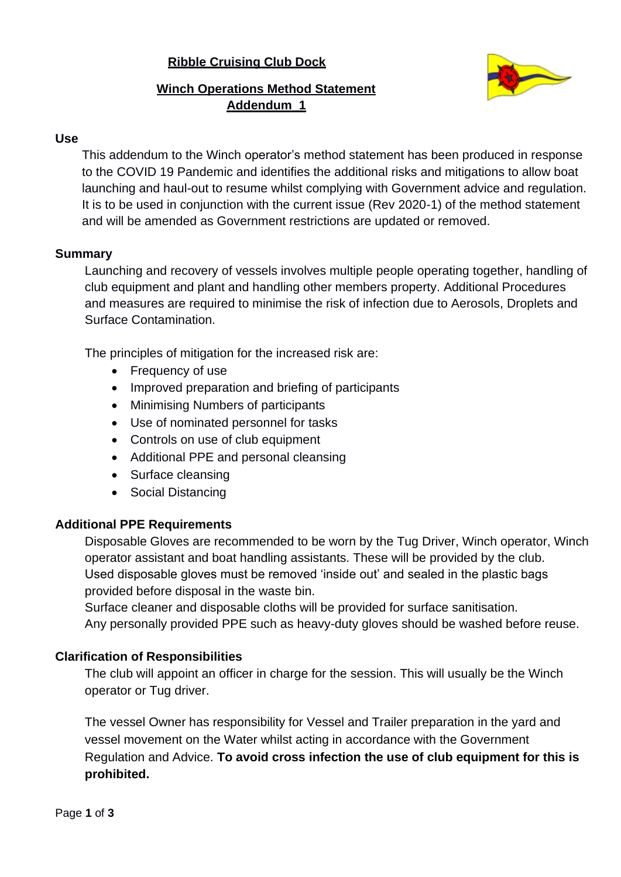# **Ribble Cruising Club Dock**



# **Winch Operations Method Statement Addendum 1**

#### **Use**

This addendum to the Winch operator's method statement has been produced in response to the COVID 19 Pandemic and identifies the additional risks and mitigations to allow boat launching and haul-out to resume whilst complying with Government advice and regulation. It is to be used in conjunction with the current issue (Rev 2020-1) of the method statement and will be amended as Government restrictions are updated or removed.

#### **Summary**

Launching and recovery of vessels involves multiple people operating together, handling of club equipment and plant and handling other members property. Additional Procedures and measures are required to minimise the risk of infection due to Aerosols, Droplets and Surface Contamination.

The principles of mitigation for the increased risk are:

- Frequency of use
- Improved preparation and briefing of participants
- Minimising Numbers of participants
- Use of nominated personnel for tasks
- Controls on use of club equipment
- Additional PPE and personal cleansing
- Surface cleansing
- Social Distancing

#### **Additional PPE Requirements**

Disposable Gloves are recommended to be worn by the Tug Driver, Winch operator, Winch operator assistant and boat handling assistants. These will be provided by the club. Used disposable gloves must be removed 'inside out' and sealed in the plastic bags provided before disposal in the waste bin.

Surface cleaner and disposable cloths will be provided for surface sanitisation. Any personally provided PPE such as heavy-duty gloves should be washed before reuse.

#### **Clarification of Responsibilities**

The club will appoint an officer in charge for the session. This will usually be the Winch operator or Tug driver.

The vessel Owner has responsibility for Vessel and Trailer preparation in the yard and vessel movement on the Water whilst acting in accordance with the Government Regulation and Advice. **To avoid cross infection the use of club equipment for this is prohibited.**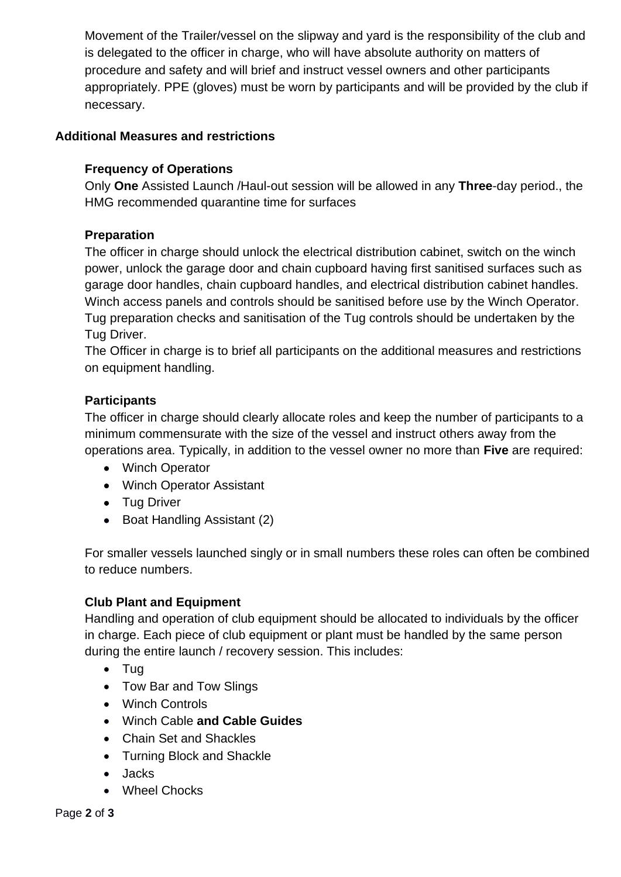Movement of the Trailer/vessel on the slipway and yard is the responsibility of the club and is delegated to the officer in charge, who will have absolute authority on matters of procedure and safety and will brief and instruct vessel owners and other participants appropriately. PPE (gloves) must be worn by participants and will be provided by the club if necessary.

### **Additional Measures and restrictions**

### **Frequency of Operations**

Only **One** Assisted Launch /Haul-out session will be allowed in any **Three**-day period., the HMG recommended quarantine time for surfaces

### **Preparation**

The officer in charge should unlock the electrical distribution cabinet, switch on the winch power, unlock the garage door and chain cupboard having first sanitised surfaces such as garage door handles, chain cupboard handles, and electrical distribution cabinet handles. Winch access panels and controls should be sanitised before use by the Winch Operator. Tug preparation checks and sanitisation of the Tug controls should be undertaken by the Tug Driver.

The Officer in charge is to brief all participants on the additional measures and restrictions on equipment handling.

### **Participants**

The officer in charge should clearly allocate roles and keep the number of participants to a minimum commensurate with the size of the vessel and instruct others away from the operations area. Typically, in addition to the vessel owner no more than **Five** are required:

- Winch Operator
- Winch Operator Assistant
- Tug Driver
- Boat Handling Assistant (2)

For smaller vessels launched singly or in small numbers these roles can often be combined to reduce numbers.

# **Club Plant and Equipment**

Handling and operation of club equipment should be allocated to individuals by the officer in charge. Each piece of club equipment or plant must be handled by the same person during the entire launch / recovery session. This includes:

- Tug
- Tow Bar and Tow Slings
- Winch Controls
- Winch Cable **and Cable Guides**
- Chain Set and Shackles
- Turning Block and Shackle
- Jacks
- Wheel Chocks